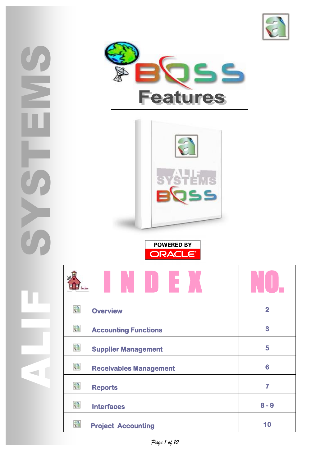







| 稳<br><b>Overview</b>               | $\overline{2}$ |
|------------------------------------|----------------|
| 稳<br><b>Accounting Functions</b>   | 3              |
| 稳<br><b>Supplier Management</b>    | 5              |
| 稳<br><b>Receivables Management</b> | 6              |
| 稳<br><b>Reports</b>                | 7              |
| 稳<br><b>Interfaces</b>             | $8 - 9$        |
| 稳<br><b>Project Accounting</b>     | 10             |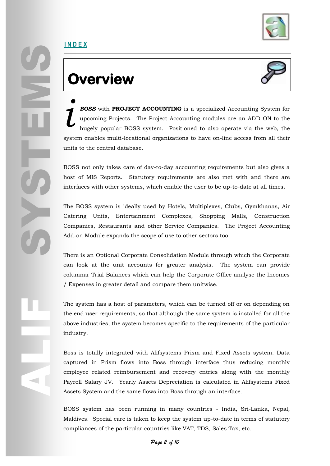

## **Overview**



*BOSS* with **PROJECT ACCOUNTING** is a specialized Accounting System for upcoming Projects. The Project Accounting modules are an ADD-ON to the hugely popular BOSS system. Positioned to also operate via the web, the system enables multi-locational organizations to have on-line access from all their units to the central database. *i*

BOSS not only takes care of day-to-day accounting requirements but also gives a host of MIS Reports. Statutory requirements are also met with and there are interfaces with other systems, which enable the user to be up-to-date at all times**.**

The BOSS system is ideally used by Hotels, Multiplexes, Clubs, Gymkhanas, Air Catering Units, Entertainment Complexes, Shopping Malls, Construction Companies, Restaurants and other Service Companies. The Project Accounting Add-on Module expands the scope of use to other sectors too.

There is an Optional Corporate Consolidation Module through which the Corporate can look at the unit accounts for greater analysis. The system can provide columnar Trial Balances which can help the Corporate Office analyse the Incomes / Expenses in greater detail and compare them unitwise.

The system has a host of parameters, which can be turned off or on depending on the end user requirements, so that although the same system is installed for all the above industries, the system becomes specific to the requirements of the particular industry.

The state<br>the e<br>above<br>indus<br>indus<br>Boss<br>captu<br>empl<br>Payro<br>Asset Boss is totally integrated with Alifsystems Prism and Fixed Assets system. Data captured in Prism flows into Boss through interface thus reducing monthly employee related reimbursement and recovery entries along with the monthly Payroll Salary JV. Yearly Assets Depreciation is calculated in Alifsystems Fixed Assets System and the same flows into Boss through an interface.

> BOSS system has been running in many countries - India, Sri-Lanka, Nepal, Maldives. Special care is taken to keep the system up-to-date in terms of statutory compliances of the particular countries like VAT, TDS, Sales Tax, etc.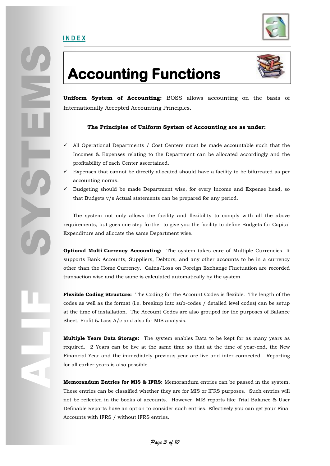

## **Accounting Functions**



**Uniform System of Accounting:** BOSS allows accounting on the basis of Internationally Accepted Accounting Principles.

### **The Principles of Uniform System of Accounting are as under:**

- $\checkmark$  All Operational Departments / Cost Centers must be made accountable such that the Incomes & Expenses relating to the Department can be allocated accordingly and the profitability of each Center ascertained.
- Expenses that cannot be directly allocated should have a facility to be bifurcated as per accounting norms.
- Budgeting should be made Department wise, for every Income and Expense head, so that Budgets v/s Actual statements can be prepared for any period.

 The system not only allows the facility and flexibility to comply with all the above requirements, but goes one step further to give you the facility to define Budgets for Capital Expenditure and allocate the same Department wise.

**Optional Multi-Currency Accounting:** The system takes care of Multiple Currencies. It supports Bank Accounts, Suppliers, Debtors, and any other accounts to be in a currency other than the Home Currency. Gains/Loss on Foreign Exchange Fluctuation are recorded transaction wise and the same is calculated automatically by the system.

**Flexible Coding Structure:** The Coding for the Account Codes is flexible. The length of the codes as well as the format (i.e. breakup into sub-codes / detailed level codes) can be setup at the time of installation. The Account Codes are also grouped for the purposes of Balance Sheet, Profit & Loss A/c and also for MIS analysis.

**Multiple Years Data Storage:** The system enables Data to be kept for as many years as required. 2 Years can be live at the same time so that at the time of year-end, the New Financial Year and the immediately previous year are live and inter-connected. Reporting for all earlier years is also possible.

**Memorandum Entries for MIS & IFRS:** Memorandum entries can be passed in the system. These entries can be classified whether they are for MIS or IFRS purposes. Such entries will not be reflected in the books of accounts. However, MIS reports like Trial Balance & User Definable Reports have an option to consider such entries. Effectively you can get your Final Accounts with IFRS / without IFRS entries.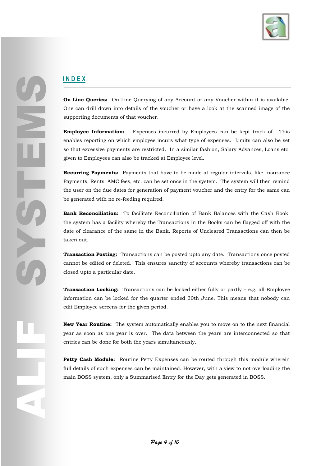

**On-Line Queries:** On-Line Querying of any Account or any Voucher within it is available. One can drill down into details of the voucher or have a look at the scanned image of the supporting documents of that voucher.

**Employee Information:** Expenses incurred by Employees can be kept track of. This enables reporting on which employee incurs what type of expenses. Limits can also be set so that excessive payments are restricted. In a similar fashion, Salary Advances, Loans etc. given to Employees can also be tracked at Employee level.

**Recurring Payments:** Payments that have to be made at regular intervals, like Insurance Payments, Rents, AMC fees, etc. can be set once in the system. The system will then remind the user on the due dates for generation of payment voucher and the entry for the same can be generated with no re-feeding required.

**Bank Reconciliation:** To facilitate Reconciliation of Bank Balances with the Cash Book, the system has a facility whereby the Transactions in the Books can be flagged off with the date of clearance of the same in the Bank. Reports of Uncleared Transactions can then be taken out.

**Transaction Posting:** Transactions can be posted upto any date. Transactions once posted cannot be edited or deleted. This ensures sanctity of accounts whereby transactions can be closed upto a particular date.

**Transaction Locking:** Transactions can be locked either fully or partly – e.g. all Employee information can be locked for the quarter ended 30th June. This means that nobody can edit Employee screens for the given period.

**New Year Routine:** The system automatically enables you to move on to the next financial year as soon as one year is over. The data between the years are interconnected so that entries can be done for both the years simultaneously.

**Petty Cash Module:** Routine Petty Expenses can be routed through this module wherein full details of such expenses can be maintained. However, with a view to not overloading the main BOSS system, only a Summarised Entry for the Day gets generated in BOSS.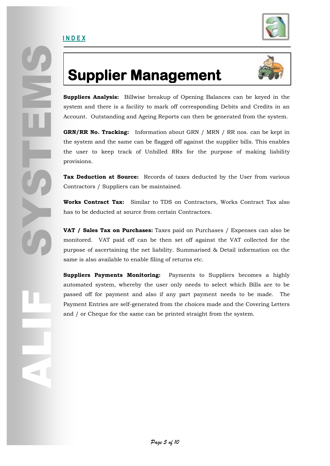

## **Supplier Management**



**Suppliers Analysis:** Billwise breakup of Opening Balances can be keyed in the system and there is a facility to mark off corresponding Debits and Credits in an Account. Outstanding and Ageing Reports can then be generated from the system.

**GRN/RR No. Tracking:** Information about GRN / MRN / RR nos. can be kept in the system and the same can be flagged off against the supplier bills. This enables the user to keep track of Unbilled RRs for the purpose of making liability provisions.

**Tax Deduction at Source:** Records of taxes deducted by the User from various Contractors / Suppliers can be maintained.

**Works Contract Tax:** Similar to TDS on Contractors, Works Contract Tax also has to be deducted at source from certain Contractors.

**VAT / Sales Tax on Purchases:** Taxes paid on Purchases / Expenses can also be monitored. VAT paid off can be then set off against the VAT collected for the purpose of ascertaining the net liability. Summarised & Detail information on the same is also available to enable filing of returns etc.

**Suppliers Payments Monitoring:** Payments to Suppliers becomes a highly automated system, whereby the user only needs to select which Bills are to be passed off for payment and also if any part payment needs to be made. The Payment Entries are self-generated from the choices made and the Covering Letters and / or Cheque for the same can be printed straight from the system.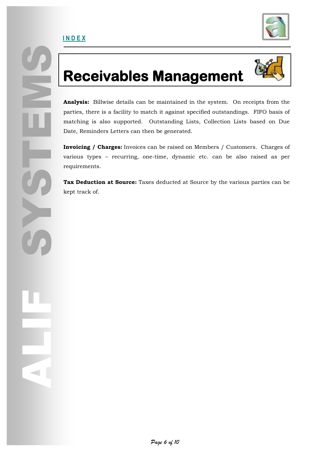ALIF



## **Receivables Management**



Receive<br>
Analysis: Billwise c<br>
parties, there is a fa<br>
matching is also st<br>
Date, Reminders Let<br>
Invoicing / Charge<br>
various types – requirements.<br>
Tax Deduction at S<br>
kept track of. **Analysis:** Billwise details can be maintained in the system. On receipts from the parties, there is a facility to match it against specified outstandings. FIFO basis of matching is also supported. Outstanding Lists, Collection Lists based on Due Date, Reminders Letters can then be generated.

**Invoicing / Charges:** Invoices can be raised on Members / Customers. Charges of various types – recurring, one-time, dynamic etc. can be also raised as per requirements.

**Tax Deduction at Source:** Taxes deducted at Source by the various parties can be kept track of.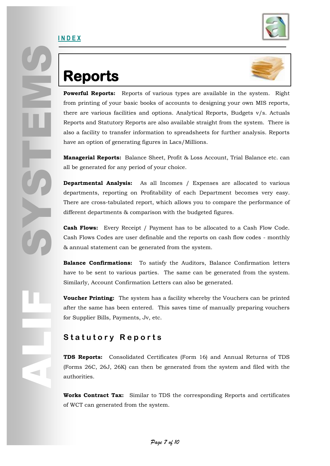

# **Reports**

**I N D E X**



**Powerful Reports:** Reports of various types are available in the system. Right from printing of your basic books of accounts to designing your own MIS reports, there are various facilities and options. Analytical Reports, Budgets v/s. Actuals Reports and Statutory Reports are also available straight from the system. There is also a facility to transfer information to spreadsheets for further analysis. Reports have an option of generating figures in Lacs/Millions.

**Managerial Reports:** Balance Sheet, Profit & Loss Account, Trial Balance etc. can all be generated for any period of your choice.

**Departmental Analysis:** As all Incomes / Expenses are allocated to various departments, reporting on Profitability of each Department becomes very easy. There are cross-tabulated report, which allows you to compare the performance of different departments & comparison with the budgeted figures.

**Cash Flows:** Every Receipt / Payment has to be allocated to a Cash Flow Code. Cash Flows Codes are user definable and the reports on cash flow codes - monthly & annual statement can be generated from the system.

**Balance Confirmations:** To satisfy the Auditors, Balance Confirmation letters have to be sent to various parties. The same can be generated from the system. Similarly, Account Confirmation Letters can also be generated.

**Voucher Printing:** The system has a facility whereby the Vouchers can be printed after the same has been entered. This saves time of manually preparing vouchers for Supplier Bills, Payments, Jv, etc.

### **S t a t u t o r y R e p o r t s**

**TDS Reports:** Consolidated Certificates (Form 16) and Annual Returns of TDS (Forms 26C, 26J, 26K) can then be generated from the system and filed with the authorities.

**Works Contract Tax:** Similar to TDS the corresponding Reports and certificates of WCT can generated from the system.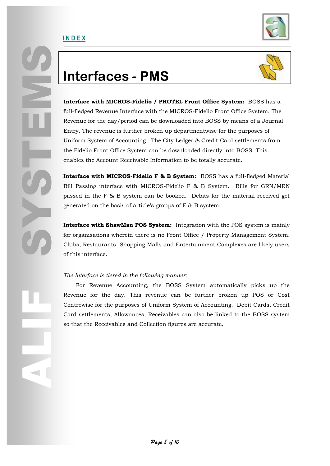

## **Interfaces - PMS**



Interface with MIC<br>
Interface with MIC<br>
Eull-fledged Revenue<br>
Revenue for the day<br>
Entry. The revenue is<br>
Uniform System of A<br>
the Fidelio Front Off<br>
enables the Account<br>
Interface with MIC<br>
Bill Passing interface<br>
passed **Interface with MICROS-Fidelio / PROTEL Front Office System:** BOSS has a full-fledged Revenue Interface with the MICROS-Fidelio Front Office System. The Revenue for the day/period can be downloaded into BOSS by means of a Journal Entry. The revenue is further broken up departmentwise for the purposes of Uniform System of Accounting. The City Ledger & Credit Card settlements from the Fidelio Front Office System can be downloaded directly into BOSS. This enables the Account Receivable Information to be totally accurate.

**Interface with MICROS-Fidelio F & B System:** BOSS has a full-fledged Material Bill Passing interface with MICROS-Fidelio F & B System. Bills for GRN/MRN passed in the F & B system can be booked. Debits for the material received get generated on the basis of article's groups of F & B system.

**Interface with ShawMan POS System:** Integration with the POS system is mainly for organisations wherein there is no Front Office / Property Management System. Clubs, Restaurants, Shopping Malls and Entertainment Complexes are likely users of this interface.

#### *The Interface is tiered in the following manner:*

Rever<br>
Centr<br>
Card<br>
so the For Revenue Accounting, the BOSS System automatically picks up the Revenue for the day. This revenue can be further broken up POS or Cost Centrewise for the purposes of Uniform System of Accounting. Debit Cards, Credit Card settlements, Allowances, Receivables can also be linked to the BOSS system so that the Receivables and Collection figures are accurate.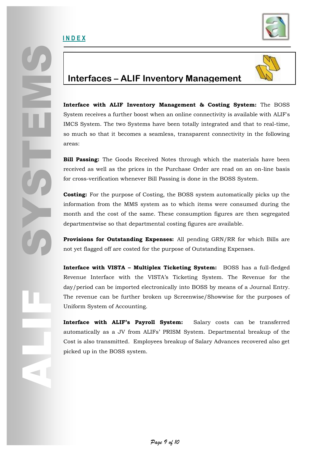



### **Interfaces – ALIF Inventory Management**

**Interface with ALIF Inventory Management & Costing System:** The BOSS System receives a further boost when an online connectivity is available with ALIF's IMCS System. The two Systems have been totally integrated and that to real-time, so much so that it becomes a seamless, transparent connectivity in the following areas:

**Bill Passing:** The Goods Received Notes through which the materials have been received as well as the prices in the Purchase Order are read on an on-line basis for cross-verification whenever Bill Passing is done in the BOSS System.

**Costing:** For the purpose of Costing, the BOSS system automatically picks up the information from the MMS system as to which items were consumed during the month and the cost of the same. These consumption figures are then segregated departmentwise so that departmental costing figures are available.

**Provisions for Outstanding Expenses:** All pending GRN/RR for which Bills are not yet flagged off are costed for the purpose of Outstanding Expenses.

**Interface with VISTA – Multiplex Ticketing System:** BOSS has a full-fledged Revenue Interface with the VISTA's Ticketing System. The Revenue for the day/period can be imported electronically into BOSS by means of a Journal Entry. The revenue can be further broken up Screenwise/Showwise for the purposes of Uniform System of Accounting.

**Interface with ALIF's Payroll System:** Salary costs can be transferred automatically as a JV from ALIFs' PRISM System. Departmental breakup of the Cost is also transmitted. Employees breakup of Salary Advances recovered also get picked up in the BOSS system.